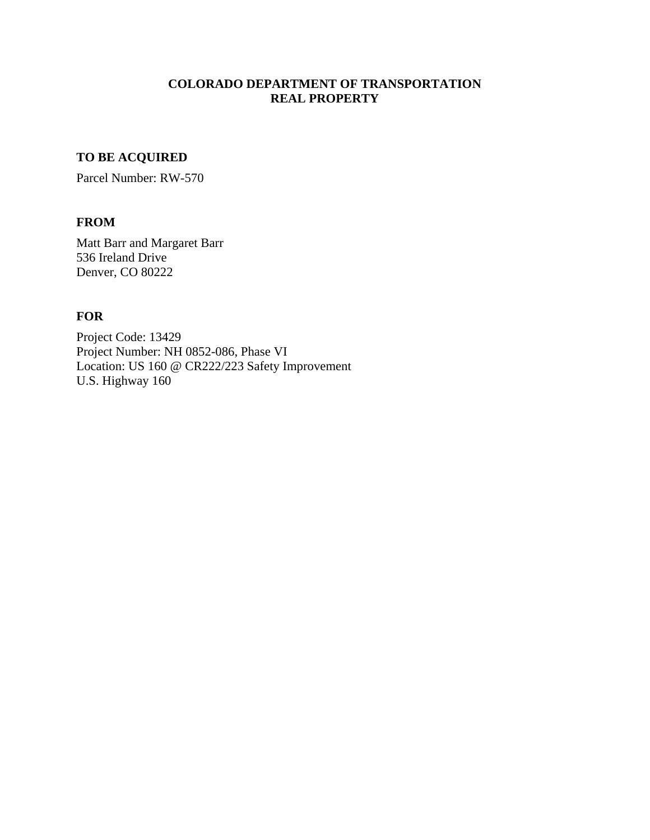# **COLORADO DEPARTMENT OF TRANSPORTATION REAL PROPERTY**

# **TO BE ACQUIRED**

Parcel Number: RW-570

## **FROM**

Matt Barr and Margaret Barr 536 Ireland Drive Denver, CO 80222

# **FOR**

Project Code: 13429 Project Number: NH 0852-086, Phase VI Location: US 160 @ CR222/223 Safety Improvement U.S. Highway 160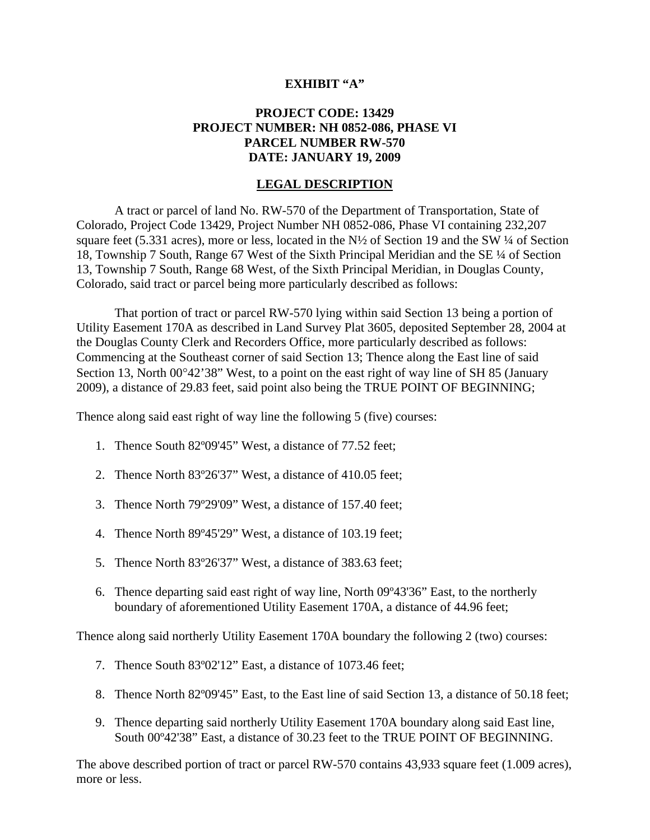### **EXHIBIT "A"**

## **PROJECT CODE: 13429 PROJECT NUMBER: NH 0852-086, PHASE VI PARCEL NUMBER RW-570 DATE: JANUARY 19, 2009**

### **LEGAL DESCRIPTION**

A tract or parcel of land No. RW-570 of the Department of Transportation, State of Colorado, Project Code 13429, Project Number NH 0852-086, Phase VI containing 232,207 square feet (5.331 acres), more or less, located in the  $N\frac{1}{2}$  of Section 19 and the SW  $\frac{1}{4}$  of Section 18, Township 7 South, Range 67 West of the Sixth Principal Meridian and the SE ¼ of Section 13, Township 7 South, Range 68 West, of the Sixth Principal Meridian, in Douglas County, Colorado, said tract or parcel being more particularly described as follows:

That portion of tract or parcel RW-570 lying within said Section 13 being a portion of Utility Easement 170A as described in Land Survey Plat 3605, deposited September 28, 2004 at the Douglas County Clerk and Recorders Office, more particularly described as follows: Commencing at the Southeast corner of said Section 13; Thence along the East line of said Section 13, North  $00^{\circ}42'38''$  West, to a point on the east right of way line of SH 85 (January 2009), a distance of 29.83 feet, said point also being the TRUE POINT OF BEGINNING;

Thence along said east right of way line the following 5 (five) courses:

- 1. Thence South 82º09'45" West, a distance of 77.52 feet;
- 2. Thence North 83º26'37" West, a distance of 410.05 feet;
- 3. Thence North 79º29'09" West, a distance of 157.40 feet;
- 4. Thence North 89º45'29" West, a distance of 103.19 feet;
- 5. Thence North 83º26'37" West, a distance of 383.63 feet;
- 6. Thence departing said east right of way line, North 09º43'36" East, to the northerly boundary of aforementioned Utility Easement 170A, a distance of 44.96 feet;

Thence along said northerly Utility Easement 170A boundary the following 2 (two) courses:

- 7. Thence South 83º02'12" East, a distance of 1073.46 feet;
- 8. Thence North 82º09'45" East, to the East line of said Section 13, a distance of 50.18 feet;
- 9. Thence departing said northerly Utility Easement 170A boundary along said East line, South 00º42'38" East, a distance of 30.23 feet to the TRUE POINT OF BEGINNING.

The above described portion of tract or parcel RW-570 contains 43,933 square feet (1.009 acres), more or less.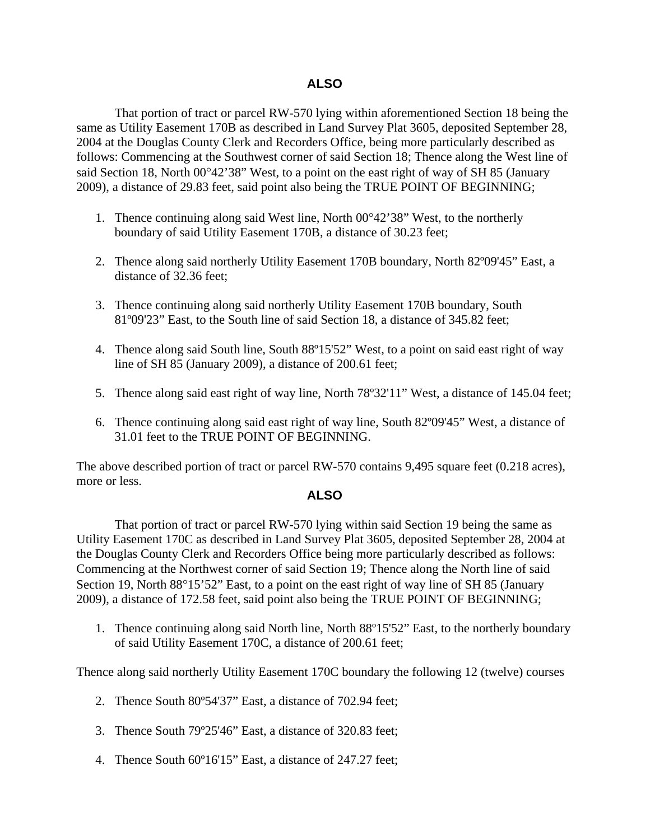## **ALSO**

That portion of tract or parcel RW-570 lying within aforementioned Section 18 being the same as Utility Easement 170B as described in Land Survey Plat 3605, deposited September 28, 2004 at the Douglas County Clerk and Recorders Office, being more particularly described as follows: Commencing at the Southwest corner of said Section 18; Thence along the West line of said Section 18, North  $00^{\circ}42'38''$  West, to a point on the east right of way of SH 85 (January 2009), a distance of 29.83 feet, said point also being the TRUE POINT OF BEGINNING;

- 1. Thence continuing along said West line, North  $00^{\circ}42'38''$  West, to the northerly boundary of said Utility Easement 170B, a distance of 30.23 feet;
- 2. Thence along said northerly Utility Easement 170B boundary, North 82º09'45" East, a distance of 32.36 feet;
- 3. Thence continuing along said northerly Utility Easement 170B boundary, South 81º09'23" East, to the South line of said Section 18, a distance of 345.82 feet;
- 4. Thence along said South line, South 88º15'52" West, to a point on said east right of way line of SH 85 (January 2009), a distance of 200.61 feet;
- 5. Thence along said east right of way line, North 78º32'11" West, a distance of 145.04 feet;
- 6. Thence continuing along said east right of way line, South 82º09'45" West, a distance of 31.01 feet to the TRUE POINT OF BEGINNING.

The above described portion of tract or parcel RW-570 contains 9,495 square feet (0.218 acres), more or less.

### **ALSO**

That portion of tract or parcel RW-570 lying within said Section 19 being the same as Utility Easement 170C as described in Land Survey Plat 3605, deposited September 28, 2004 at the Douglas County Clerk and Recorders Office being more particularly described as follows: Commencing at the Northwest corner of said Section 19; Thence along the North line of said Section 19, North  $88^{\circ}15'52''$  East, to a point on the east right of way line of SH 85 (January 2009), a distance of 172.58 feet, said point also being the TRUE POINT OF BEGINNING;

1. Thence continuing along said North line, North 88º15'52" East, to the northerly boundary of said Utility Easement 170C, a distance of 200.61 feet;

Thence along said northerly Utility Easement 170C boundary the following 12 (twelve) courses

- 2. Thence South 80º54'37" East, a distance of 702.94 feet;
- 3. Thence South 79º25'46" East, a distance of 320.83 feet;
- 4. Thence South 60º16'15" East, a distance of 247.27 feet;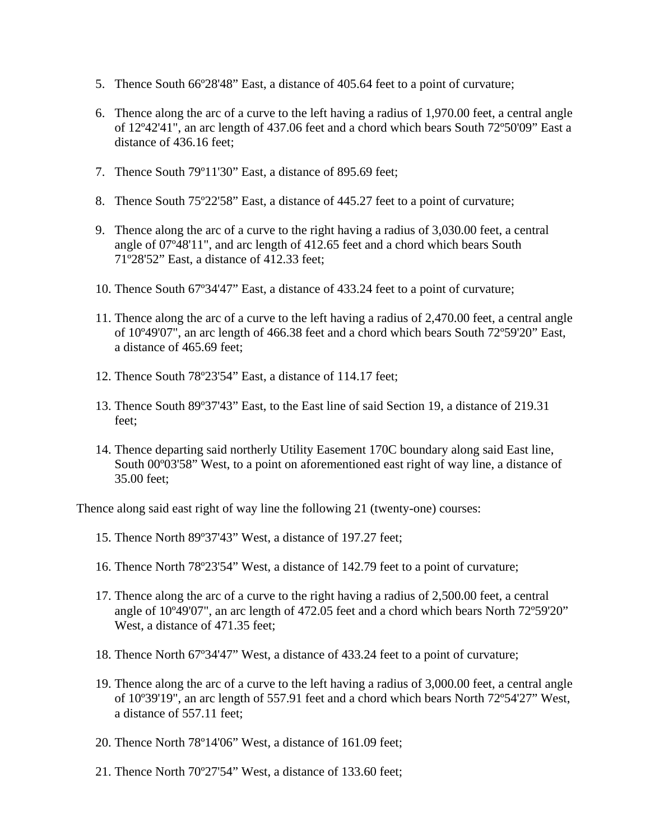- 5. Thence South 66º28'48" East, a distance of 405.64 feet to a point of curvature;
- 6. Thence along the arc of a curve to the left having a radius of 1,970.00 feet, a central angle of 12º42'41", an arc length of 437.06 feet and a chord which bears South 72º50'09" East a distance of 436.16 feet;
- 7. Thence South 79º11'30" East, a distance of 895.69 feet;
- 8. Thence South 75º22'58" East, a distance of 445.27 feet to a point of curvature;
- 9. Thence along the arc of a curve to the right having a radius of 3,030.00 feet, a central angle of 07º48'11", and arc length of 412.65 feet and a chord which bears South 71º28'52" East, a distance of 412.33 feet;
- 10. Thence South 67º34'47" East, a distance of 433.24 feet to a point of curvature;
- 11. Thence along the arc of a curve to the left having a radius of 2,470.00 feet, a central angle of 10º49'07", an arc length of 466.38 feet and a chord which bears South 72º59'20" East, a distance of 465.69 feet;
- 12. Thence South 78º23'54" East, a distance of 114.17 feet;
- 13. Thence South 89º37'43" East, to the East line of said Section 19, a distance of 219.31 feet;
- 14. Thence departing said northerly Utility Easement 170C boundary along said East line, South 00º03'58" West, to a point on aforementioned east right of way line, a distance of 35.00 feet;

Thence along said east right of way line the following 21 (twenty-one) courses:

- 15. Thence North 89º37'43" West, a distance of 197.27 feet;
- 16. Thence North 78º23'54" West, a distance of 142.79 feet to a point of curvature;
- 17. Thence along the arc of a curve to the right having a radius of 2,500.00 feet, a central angle of 10º49'07", an arc length of 472.05 feet and a chord which bears North 72º59'20" West, a distance of 471.35 feet;
- 18. Thence North 67º34'47" West, a distance of 433.24 feet to a point of curvature;
- 19. Thence along the arc of a curve to the left having a radius of 3,000.00 feet, a central angle of 10º39'19", an arc length of 557.91 feet and a chord which bears North 72º54'27" West, a distance of 557.11 feet;
- 20. Thence North 78º14'06" West, a distance of 161.09 feet;
- 21. Thence North 70º27'54" West, a distance of 133.60 feet;